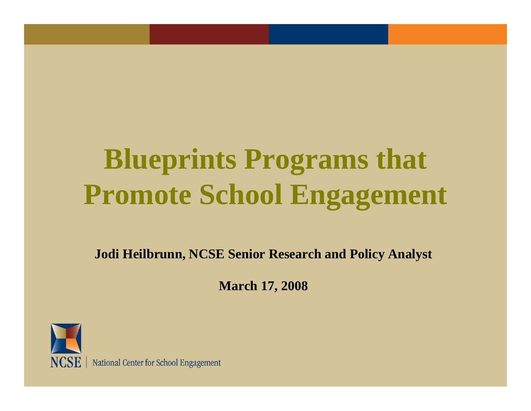## **Blueprints Programs that Promote School Engagement**

**Jodi Heilbrunn, NCSE Senior Research and Policy Analyst**

**March 17, 2008**



NCSE | National Center for School Engagement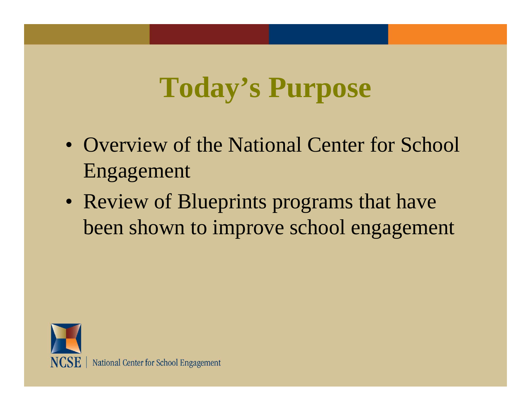### **Today's Purpose**

- Overview of the National Center for School Engagement
- Review of Blueprints programs that have been shown to improve school engagement

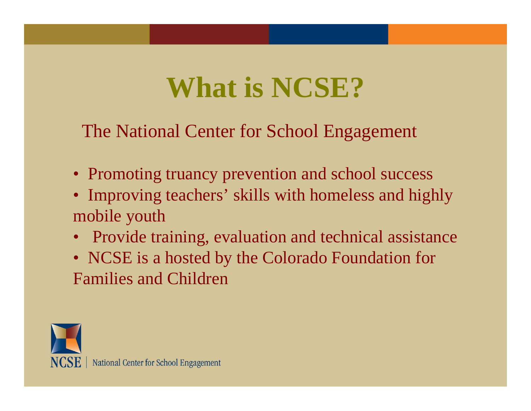#### **What is NCSE?**

The National Center for School Engagement

- Promoting truancy prevention and school success
- Improving teachers' skills with homeless and highly mobile youth
- Provide training, evaluation and technical assistance
- NCSE is a hosted by the Colorado Foundation for Families and Children

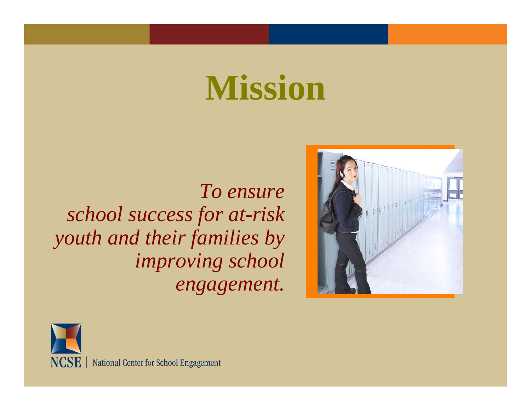# **Mission**

*To ensure school success for at-risk youth and their families by improving school engagement.*



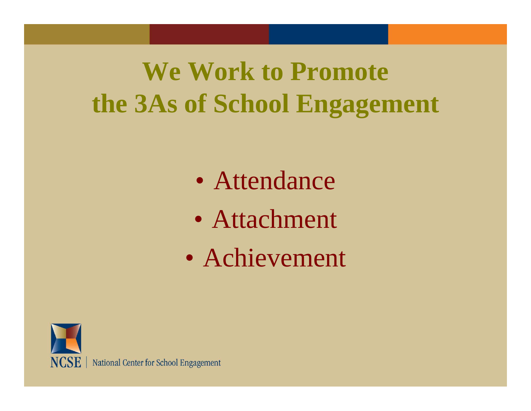#### **We Work to Promote the 3As of School Engagement**

- $\bullet$ Attendance
- $\bullet$ Attachment
- $\bullet$ Achievement



NCSE | National Center for School Engagement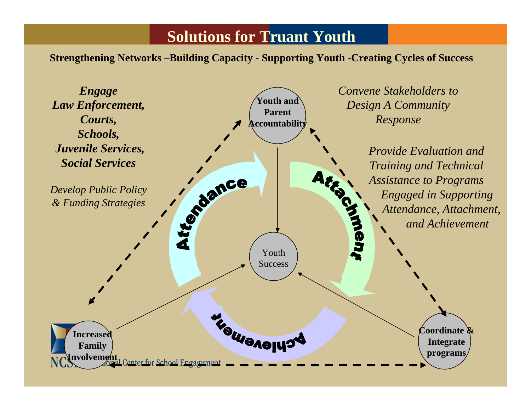#### **Solutions for Truant Youth**

**Strengthening Networks –Building Capacity - Supporting Youth -Creating Cycles of Success**

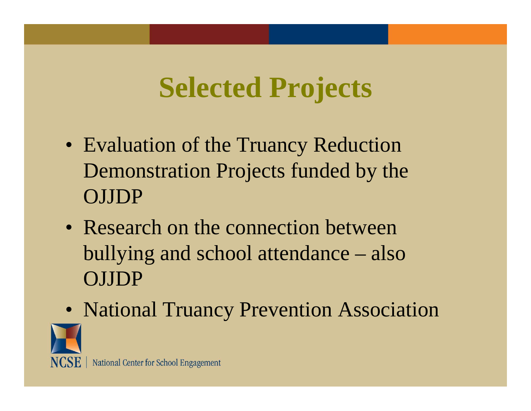### **Selected Projects**

- Evaluation of the Truancy Reduction Demonstration Projects funded by the OJJDP
- Research on the connection between bullying and school attendance – also OJJDP
- National Truancy Prevention Association

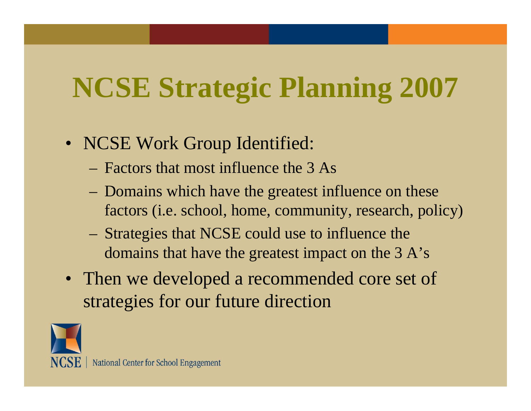## **NCSE Strategic Planning 2007**

- NCSE Work Group Identified:
	- Factors that most influence the 3 As
	- Domains which have the greatest influence on these factors (i.e. school, home, community, research, policy)
	- Strategies that NCSE could use to influence the domains that have the greatest impact on the 3 A's
- Then we developed a recommended core set of strategies for our future direction

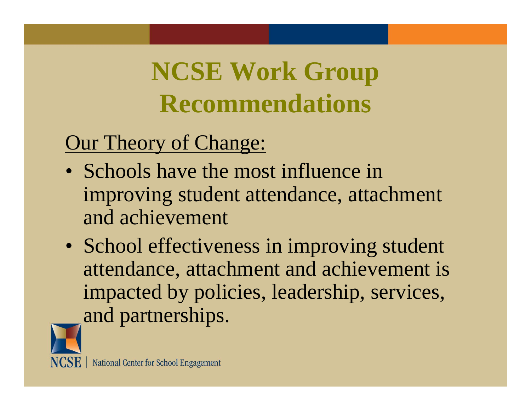#### **NCSE Work Group Recommendations**

#### Our Theory of Change:

- Schools have the most influence in improving student attendance, attachment and achievement
- School effectiveness in improving student attendance, attachment and achievement is impacted by policies, leadership, services, and partnerships.

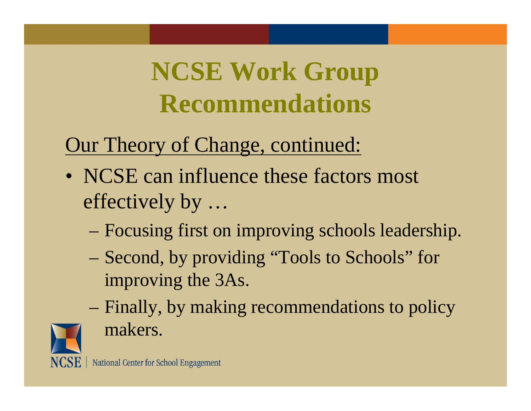#### **NCSE Work Group Recommendations**

#### Our Theory of Change, continued:

- NCSE can influence these factors most effectively by …
	- Focusing first on improving schools leadership.
	- Second, by providing "Tools to Schools" for improving the 3As.
	- Finally, by making recommendations to policy makers.

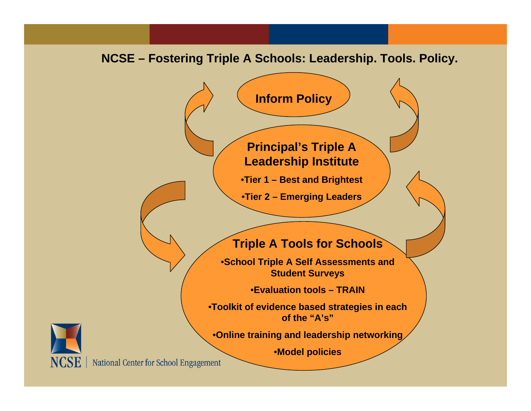#### **NCSE – Fostering Triple A Schools: Leadership. Tools. Policy.**





NCSE | National Center for School Engagement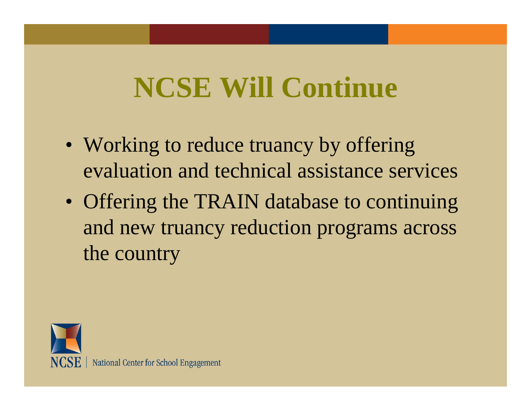#### **NCSE Will Continue**

- Working to reduce truancy by offering evaluation and technical assistance services
- Offering the TRAIN database to continuing and new truancy reduction programs across the country

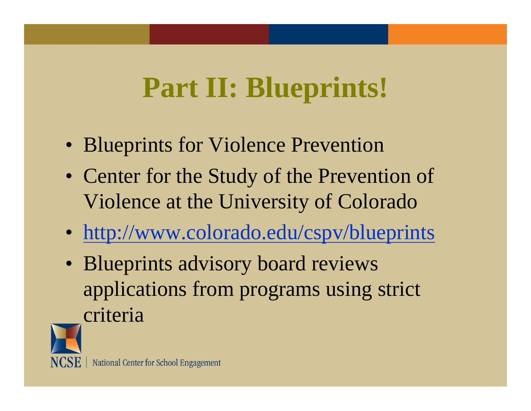#### **Part II: Blueprints!**

- Blueprints for Violence Prevention
- Center for the Study of the Prevention of Violence at the University of Colorado
- http://www.colorado.edu/cspv/blueprints
- Blueprints advisory board reviews applications from programs using strict criteria

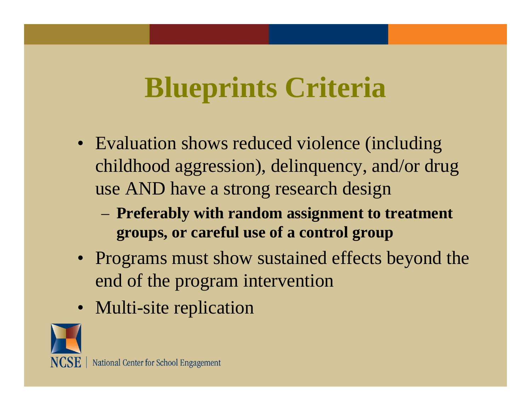#### **Blueprints Criteria**

- Evaluation shows reduced violence (including childhood aggression), delinquency, and/or drug use AND have a strong research design
	- **Preferably with random assignment to treatment groups, or careful use of a control group**
- Programs must show sustained effects beyond the end of the program intervention
- Multi-site replication

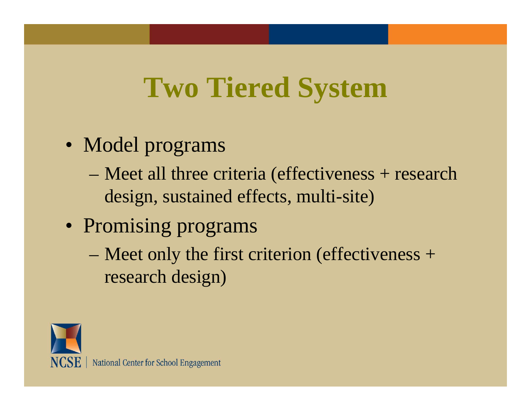#### **Two Tiered System**

- Model programs
	- Meet all three criteria (effectiveness + research design, sustained effects, multi-site)
- Promising programs
	- Meet only the first criterion (effectiveness + research design)

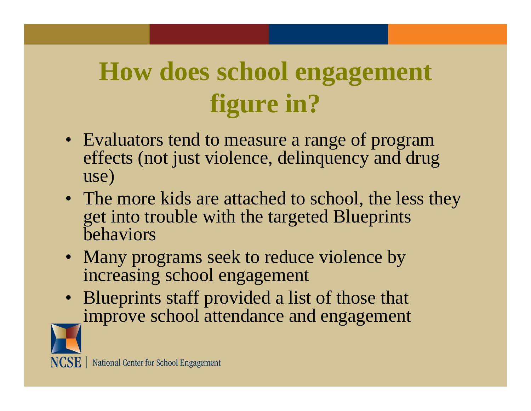#### **How does school engagement figure in?**

- Evaluators tend to measure a range of program effects (not just violence, delinquency and drug use)
- The more kids are attached to school, the less they get into trouble with the targeted Blueprints behaviors
- Many programs seek to reduce violence by increasing school engagement
- Blueprints staff provided a list of those that improve school attendance and engagement

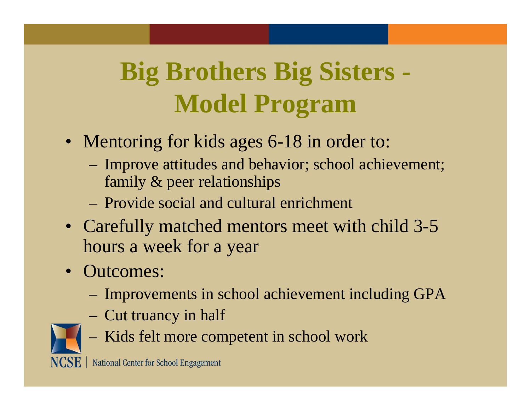#### **Big Brothers Big Sisters - Model Program**

- Mentoring for kids ages 6-18 in order to:
	- Improve attitudes and behavior; school achievement; family & peer relationships
	- Provide social and cultural enrichment
- Carefully matched mentors meet with child 3-5 hours a week for a year
- Outcomes:
	- Improvements in school achievement including GPA
	- Cut truancy in half



Kids felt more competent in school work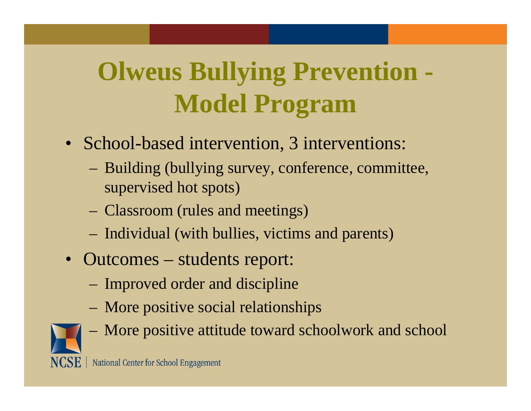#### **Olweus Bullying Prevention - Model Program**

- School-based intervention, 3 interventions:
	- Building (bullying survey, conference, committee, supervised hot spots)
	- Classroom (rules and meetings)
	- Individual (with bullies, victims and parents)
- Outcomes students report:
	- Improved order and discipline
	- More positive social relationships



More positive attitude toward schoolwork and school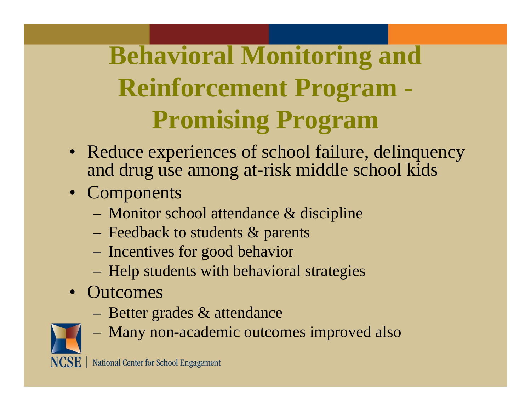#### **Behavioral Monitoring and Reinforcement Program - Promising Program**

- Reduce experiences of school failure, delinquency and drug use among at-risk middle school kids
- Components
	- Monitor school attendance & discipline
	- Feedback to students & parents
	- Incentives for good behavior
	- Help students with behavioral strategies
- Outcomes
	- Better grades & attendance



Many non-academic outcomes improved also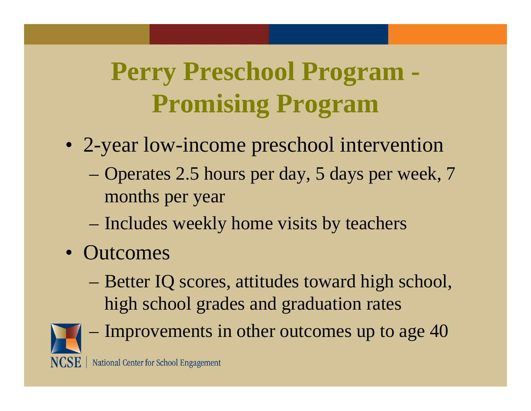#### **Perry Preschool Program - Promising Program**

- 2-year low-income preschool intervention
	- Operates 2.5 hours per day, 5 days per week, 7 months per year
	- Includes weekly home visits by teachers
- Outcomes
	- Better IQ scores, attitudes toward high school, high school grades and graduation rates



Improvements in other outcomes up to age 40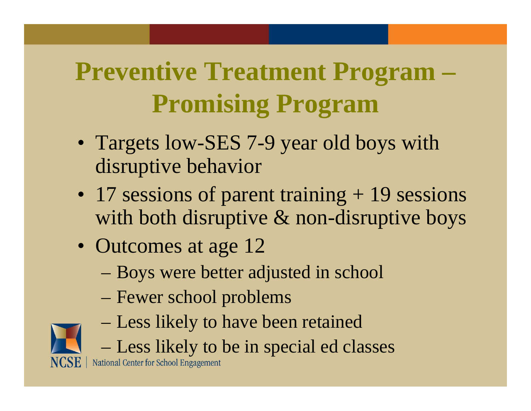#### **Preventive Treatment Program – Promising Program**

- Targets low-SES 7-9 year old boys with disruptive behavior
- 17 sessions of parent training + 19 sessions with both disruptive & non-disruptive boys
- Outcomes at age 12
	- Boys were better adjusted in school
	- Fewer school problems
	- Less likely to have been retained
	- Less likely to be in special ed classes

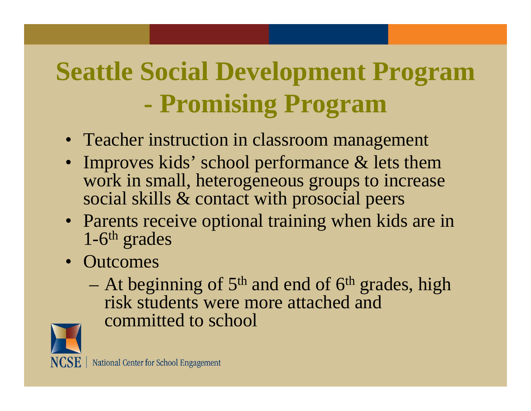#### **Seattle Social Development Program Promising Program**

- Teacher instruction in classroom management
- Improves kids' school performance & lets them work in small, heterogeneous groups to increase social skills & contact with prosocial peers
- Parents receive optional training when kids are in 1-6t<sup>h</sup> grades
- Outcomes
	- At beginning of  $5<sup>th</sup>$  and end of  $6<sup>th</sup>$  grades, high risk students were more attached and committed to school

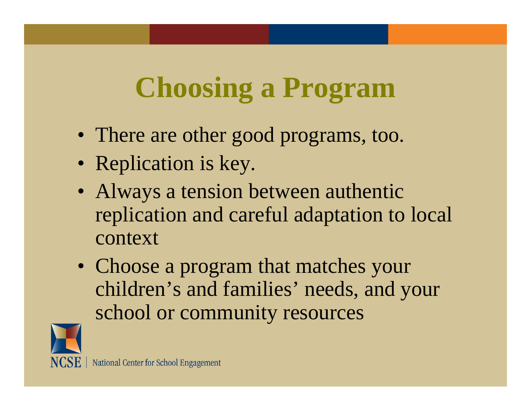### **Choosing a Program**

- There are other good programs, too.
- Replication is key.
- Always a tension between authentic replication and careful adaptation to local context
- Choose a program that matches your children's and families' needs, and your school or community resources